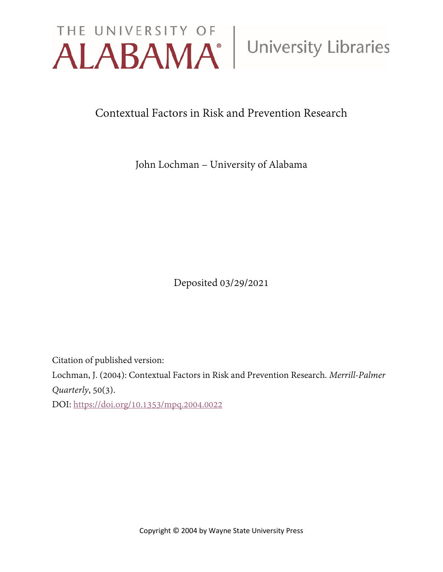

# Contextual Factors in Risk and Prevention Research

John Lochman – University of Alabama

Deposited 03/29/2021

Citation of published version:

Lochman, J. (2004): Contextual Factors in Risk and Prevention Research. *Merrill-Palmer Quarterly*, 50(3).

DOI:<https://doi.org/10.1353/mpq.2004.0022>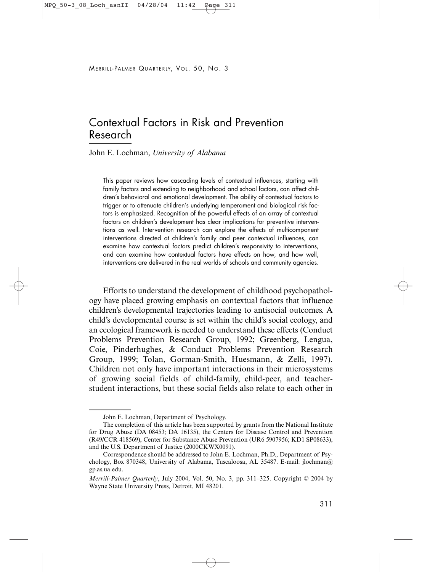# Contextual Factors in Risk and Prevention Research

John E. Lochman, *University of Alabama*

This paper reviews how cascading levels of contextual influences, starting with family factors and extending to neighborhood and school factors, can affect children's behavioral and emotional development. The ability of contextual factors to trigger or to attenuate children's underlying temperament and biological risk factors is emphasized. Recognition of the powerful effects of an array of contextual factors on children's development has clear implications for preventive interventions as well. Intervention research can explore the effects of multicomponent interventions directed at children's family and peer contextual influences, can examine how contextual factors predict children's responsivity to interventions, and can examine how contextual factors have effects on how, and how well, interventions are delivered in the real worlds of schools and community agencies.

Efforts to understand the development of childhood psychopathology have placed growing emphasis on contextual factors that influence children's developmental trajectories leading to antisocial outcomes. A child's developmental course is set within the child's social ecology, and an ecological framework is needed to understand these effects (Conduct Problems Prevention Research Group, 1992; Greenberg, Lengua, Coie, Pinderhughes, & Conduct Problems Prevention Research Group, 1999; Tolan, Gorman-Smith, Huesmann, & Zelli, 1997). Children not only have important interactions in their microsystems of growing social fields of child-family, child-peer, and teacherstudent interactions, but these social fields also relate to each other in

John E. Lochman, Department of Psychology.

The completion of this article has been supported by grants from the National Institute for Drug Abuse (DA 08453; DA 16135), the Centers for Disease Control and Prevention (R49/CCR 418569), Center for Substance Abuse Prevention (UR6 5907956; KD1 SP08633), and the U.S. Department of Justice (2000CKWX0091).

Correspondence should be addressed to John E. Lochman, Ph.D., Department of Psychology, Box 870348, University of Alabama, Tuscaloosa, AL 35487. E-mail: jlochman@ gp.as.ua.edu.

*Merrill-Palmer Quarterly*, July 2004, Vol. 50, No. 3, pp. 311–325. Copyright © 2004 by Wayne State University Press, Detroit, MI 48201.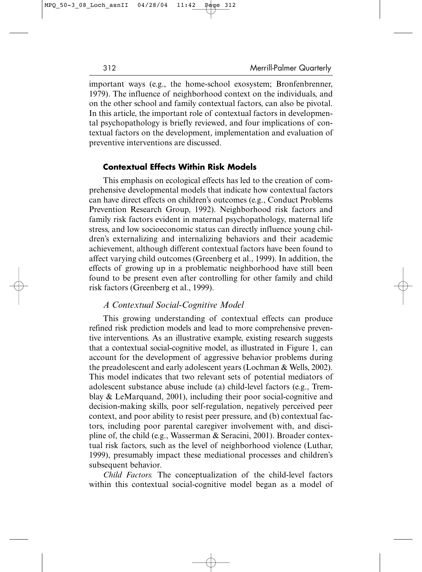important ways (e.g., the home-school exosystem; Bronfenbrenner, 1979). The influence of neighborhood context on the individuals, and on the other school and family contextual factors, can also be pivotal. In this article, the important role of contextual factors in developmental psychopathology is briefly reviewed, and four implications of contextual factors on the development, implementation and evaluation of preventive interventions are discussed.

#### **Contextual Effects Within Risk Models**

This emphasis on ecological effects has led to the creation of comprehensive developmental models that indicate how contextual factors can have direct effects on children's outcomes (e.g., Conduct Problems Prevention Research Group, 1992). Neighborhood risk factors and family risk factors evident in maternal psychopathology, maternal life stress, and low socioeconomic status can directly influence young children's externalizing and internalizing behaviors and their academic achievement, although different contextual factors have been found to affect varying child outcomes (Greenberg et al., 1999). In addition, the effects of growing up in a problematic neighborhood have still been found to be present even after controlling for other family and child risk factors (Greenberg et al., 1999).

#### *A Contextual Social-Cognitive Model*

This growing understanding of contextual effects can produce refined risk prediction models and lead to more comprehensive preventive interventions. As an illustrative example, existing research suggests that a contextual social-cognitive model, as illustrated in Figure 1, can account for the development of aggressive behavior problems during the preadolescent and early adolescent years (Lochman & Wells, 2002). This model indicates that two relevant sets of potential mediators of adolescent substance abuse include (a) child-level factors (e.g., Tremblay & LeMarquand, 2001), including their poor social-cognitive and decision-making skills, poor self-regulation, negatively perceived peer context, and poor ability to resist peer pressure, and (b) contextual factors, including poor parental caregiver involvement with, and discipline of, the child (e.g., Wasserman & Seracini, 2001). Broader contextual risk factors, such as the level of neighborhood violence (Luthar, 1999), presumably impact these mediational processes and children's subsequent behavior.

*Child Factors.* The conceptualization of the child-level factors within this contextual social-cognitive model began as a model of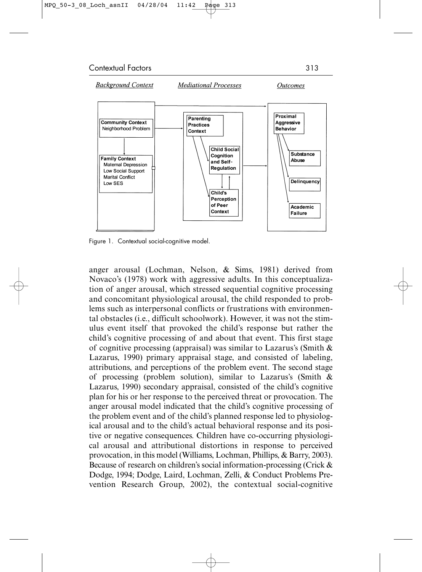

Figure 1. Contextual social-cognitive model.

anger arousal (Lochman, Nelson, & Sims, 1981) derived from Novaco's (1978) work with aggressive adults. In this conceptualization of anger arousal, which stressed sequential cognitive processing and concomitant physiological arousal, the child responded to problems such as interpersonal conflicts or frustrations with environmental obstacles (i.e., difficult schoolwork). However, it was not the stimulus event itself that provoked the child's response but rather the child's cognitive processing of and about that event. This first stage of cognitive processing (appraisal) was similar to Lazarus's (Smith & Lazarus, 1990) primary appraisal stage, and consisted of labeling, attributions, and perceptions of the problem event. The second stage of processing (problem solution), similar to Lazarus's (Smith & Lazarus, 1990) secondary appraisal, consisted of the child's cognitive plan for his or her response to the perceived threat or provocation. The anger arousal model indicated that the child's cognitive processing of the problem event and of the child's planned response led to physiological arousal and to the child's actual behavioral response and its positive or negative consequences. Children have co-occurring physiological arousal and attributional distortions in response to perceived provocation, in this model (Williams, Lochman, Phillips, & Barry, 2003). Because of research on children's social information-processing (Crick & Dodge, 1994; Dodge, Laird, Lochman, Zelli, & Conduct Problems Prevention Research Group, 2002), the contextual social-cognitive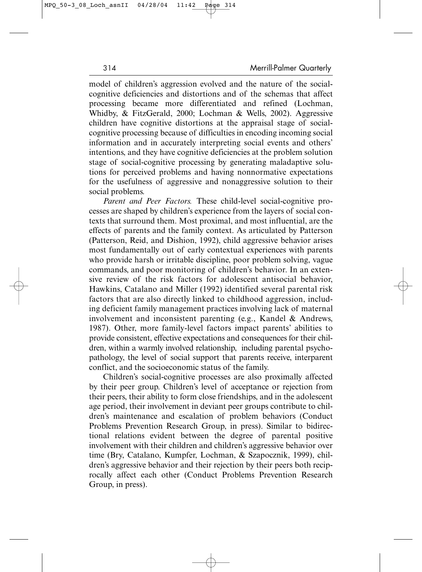model of children's aggression evolved and the nature of the socialcognitive deficiencies and distortions and of the schemas that affect processing became more differentiated and refined (Lochman, Whidby, & FitzGerald, 2000; Lochman & Wells, 2002). Aggressive children have cognitive distortions at the appraisal stage of socialcognitive processing because of difficulties in encoding incoming social information and in accurately interpreting social events and others' intentions, and they have cognitive deficiencies at the problem solution stage of social-cognitive processing by generating maladaptive solutions for perceived problems and having nonnormative expectations for the usefulness of aggressive and nonaggressive solution to their social problems.

*Parent and Peer Factors.* These child-level social-cognitive processes are shaped by children's experience from the layers of social contexts that surround them. Most proximal, and most influential, are the effects of parents and the family context. As articulated by Patterson (Patterson, Reid, and Dishion, 1992), child aggressive behavior arises most fundamentally out of early contextual experiences with parents who provide harsh or irritable discipline, poor problem solving, vague commands, and poor monitoring of children's behavior. In an extensive review of the risk factors for adolescent antisocial behavior, Hawkins, Catalano and Miller (1992) identified several parental risk factors that are also directly linked to childhood aggression, including deficient family management practices involving lack of maternal involvement and inconsistent parenting (e.g., Kandel & Andrews, 1987). Other, more family-level factors impact parents' abilities to provide consistent, effective expectations and consequences for their children, within a warmly involved relationship, including parental psychopathology, the level of social support that parents receive, interparent conflict, and the socioeconomic status of the family.

Children's social-cognitive processes are also proximally affected by their peer group. Children's level of acceptance or rejection from their peers, their ability to form close friendships, and in the adolescent age period, their involvement in deviant peer groups contribute to children's maintenance and escalation of problem behaviors (Conduct Problems Prevention Research Group, in press). Similar to bidirectional relations evident between the degree of parental positive involvement with their children and children's aggressive behavior over time (Bry, Catalano, Kumpfer, Lochman, & Szapocznik, 1999), children's aggressive behavior and their rejection by their peers both reciprocally affect each other (Conduct Problems Prevention Research Group, in press).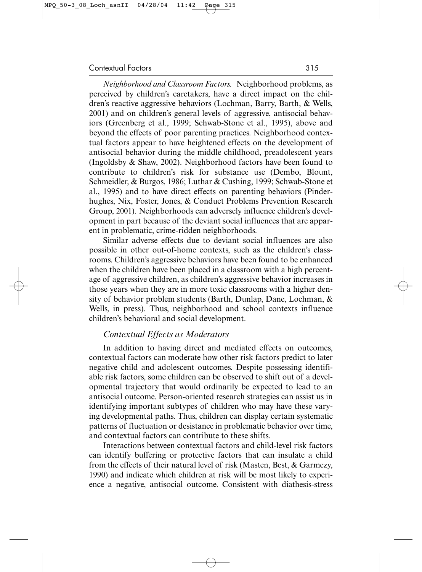*Neighborhood and Classroom Factors.* Neighborhood problems, as perceived by children's caretakers, have a direct impact on the children's reactive aggressive behaviors (Lochman, Barry, Barth, & Wells, 2001) and on children's general levels of aggressive, antisocial behaviors (Greenberg et al., 1999; Schwab-Stone et al., 1995), above and beyond the effects of poor parenting practices. Neighborhood contextual factors appear to have heightened effects on the development of antisocial behavior during the middle childhood, preadolescent years (Ingoldsby & Shaw, 2002). Neighborhood factors have been found to contribute to children's risk for substance use (Dembo, Blount, Schmeidler, & Burgos, 1986; Luthar & Cushing, 1999; Schwab-Stone et al., 1995) and to have direct effects on parenting behaviors (Pinderhughes, Nix, Foster, Jones, & Conduct Problems Prevention Research Group, 2001). Neighborhoods can adversely influence children's development in part because of the deviant social influences that are apparent in problematic, crime-ridden neighborhoods.

Similar adverse effects due to deviant social influences are also possible in other out-of-home contexts, such as the children's classrooms. Children's aggressive behaviors have been found to be enhanced when the children have been placed in a classroom with a high percentage of aggressive children, as children's aggressive behavior increases in those years when they are in more toxic classrooms with a higher density of behavior problem students (Barth, Dunlap, Dane, Lochman, & Wells, in press). Thus, neighborhood and school contexts influence children's behavioral and social development.

#### *Contextual Effects as Moderators*

In addition to having direct and mediated effects on outcomes, contextual factors can moderate how other risk factors predict to later negative child and adolescent outcomes. Despite possessing identifiable risk factors, some children can be observed to shift out of a developmental trajectory that would ordinarily be expected to lead to an antisocial outcome. Person-oriented research strategies can assist us in identifying important subtypes of children who may have these varying developmental paths. Thus, children can display certain systematic patterns of fluctuation or desistance in problematic behavior over time, and contextual factors can contribute to these shifts.

Interactions between contextual factors and child-level risk factors can identify buffering or protective factors that can insulate a child from the effects of their natural level of risk (Masten, Best, & Garmezy, 1990) and indicate which children at risk will be most likely to experience a negative, antisocial outcome. Consistent with diathesis-stress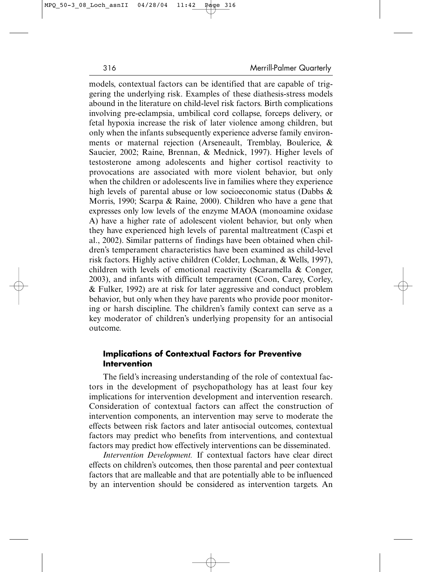models, contextual factors can be identified that are capable of triggering the underlying risk. Examples of these diathesis-stress models abound in the literature on child-level risk factors. Birth complications involving pre-eclampsia, umbilical cord collapse, forceps delivery, or fetal hypoxia increase the risk of later violence among children, but only when the infants subsequently experience adverse family environments or maternal rejection (Arseneault, Tremblay, Boulerice, & Saucier, 2002; Raine, Brennan, & Mednick, 1997). Higher levels of testosterone among adolescents and higher cortisol reactivity to provocations are associated with more violent behavior, but only when the children or adolescents live in families where they experience high levels of parental abuse or low socioeconomic status (Dabbs & Morris, 1990; Scarpa & Raine, 2000). Children who have a gene that expresses only low levels of the enzyme MAOA (monoamine oxidase A) have a higher rate of adolescent violent behavior, but only when they have experienced high levels of parental maltreatment (Caspi et al., 2002). Similar patterns of findings have been obtained when children's temperament characteristics have been examined as child-level risk factors. Highly active children (Colder, Lochman, & Wells, 1997), children with levels of emotional reactivity (Scaramella & Conger, 2003), and infants with difficult temperament (Coon, Carey, Corley, & Fulker, 1992) are at risk for later aggressive and conduct problem behavior, but only when they have parents who provide poor monitoring or harsh discipline. The children's family context can serve as a key moderator of children's underlying propensity for an antisocial outcome.

## **Implications of Contextual Factors for Preventive Intervention**

The field's increasing understanding of the role of contextual factors in the development of psychopathology has at least four key implications for intervention development and intervention research. Consideration of contextual factors can affect the construction of intervention components, an intervention may serve to moderate the effects between risk factors and later antisocial outcomes, contextual factors may predict who benefits from interventions, and contextual factors may predict how effectively interventions can be disseminated.

*Intervention Development.* If contextual factors have clear direct effects on children's outcomes, then those parental and peer contextual factors that are malleable and that are potentially able to be influenced by an intervention should be considered as intervention targets. An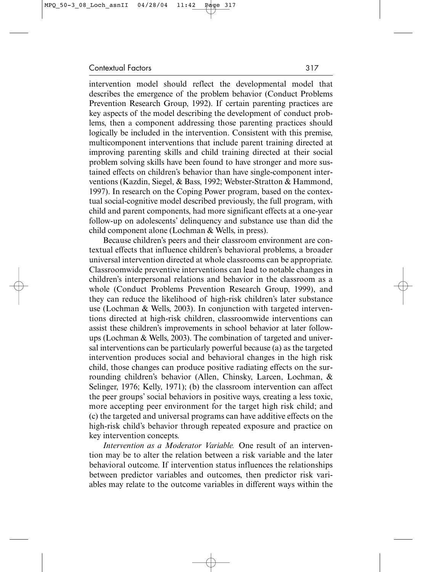intervention model should reflect the developmental model that describes the emergence of the problem behavior (Conduct Problems Prevention Research Group, 1992). If certain parenting practices are key aspects of the model describing the development of conduct problems, then a component addressing those parenting practices should logically be included in the intervention. Consistent with this premise, multicomponent interventions that include parent training directed at improving parenting skills and child training directed at their social problem solving skills have been found to have stronger and more sustained effects on children's behavior than have single-component interventions (Kazdin, Siegel, & Bass, 1992; Webster-Stratton & Hammond, 1997). In research on the Coping Power program, based on the contextual social-cognitive model described previously, the full program, with child and parent components, had more significant effects at a one-year follow-up on adolescents' delinquency and substance use than did the child component alone (Lochman & Wells, in press).

Because children's peers and their classroom environment are contextual effects that influence children's behavioral problems, a broader universal intervention directed at whole classrooms can be appropriate. Classroomwide preventive interventions can lead to notable changes in children's interpersonal relations and behavior in the classroom as a whole (Conduct Problems Prevention Research Group, 1999), and they can reduce the likelihood of high-risk children's later substance use (Lochman & Wells, 2003). In conjunction with targeted interventions directed at high-risk children, classroomwide interventions can assist these children's improvements in school behavior at later followups (Lochman & Wells, 2003). The combination of targeted and universal interventions can be particularly powerful because (a) as the targeted intervention produces social and behavioral changes in the high risk child, those changes can produce positive radiating effects on the surrounding children's behavior (Allen, Chinsky, Larcen, Lochman, & Selinger, 1976; Kelly, 1971); (b) the classroom intervention can affect the peer groups' social behaviors in positive ways, creating a less toxic, more accepting peer environment for the target high risk child; and (c) the targeted and universal programs can have additive effects on the high-risk child's behavior through repeated exposure and practice on key intervention concepts.

*Intervention as a Moderator Variable.* One result of an intervention may be to alter the relation between a risk variable and the later behavioral outcome. If intervention status influences the relationships between predictor variables and outcomes, then predictor risk variables may relate to the outcome variables in different ways within the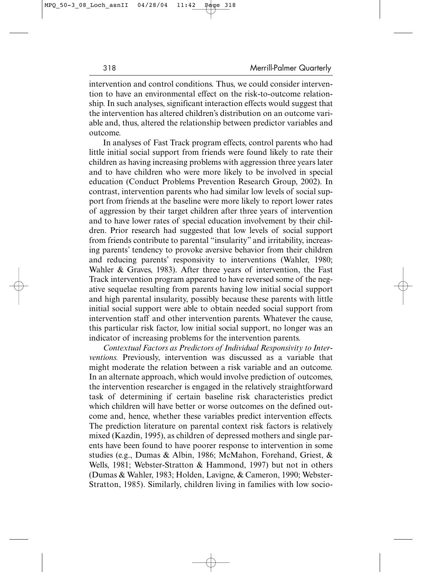intervention and control conditions. Thus, we could consider intervention to have an environmental effect on the risk-to-outcome relationship. In such analyses, significant interaction effects would suggest that the intervention has altered children's distribution on an outcome variable and, thus, altered the relationship between predictor variables and outcome.

In analyses of Fast Track program effects, control parents who had little initial social support from friends were found likely to rate their children as having increasing problems with aggression three years later and to have children who were more likely to be involved in special education (Conduct Problems Prevention Research Group, 2002). In contrast, intervention parents who had similar low levels of social support from friends at the baseline were more likely to report lower rates of aggression by their target children after three years of intervention and to have lower rates of special education involvement by their children. Prior research had suggested that low levels of social support from friends contribute to parental "insularity" and irritability, increasing parents' tendency to provoke aversive behavior from their children and reducing parents' responsivity to interventions (Wahler, 1980; Wahler & Graves, 1983). After three years of intervention, the Fast Track intervention program appeared to have reversed some of the negative sequelae resulting from parents having low initial social support and high parental insularity, possibly because these parents with little initial social support were able to obtain needed social support from intervention staff and other intervention parents. Whatever the cause, this particular risk factor, low initial social support, no longer was an indicator of increasing problems for the intervention parents.

*Contextual Factors as Predictors of Individual Responsivity to Interventions.* Previously, intervention was discussed as a variable that might moderate the relation between a risk variable and an outcome. In an alternate approach, which would involve prediction of outcomes, the intervention researcher is engaged in the relatively straightforward task of determining if certain baseline risk characteristics predict which children will have better or worse outcomes on the defined outcome and, hence, whether these variables predict intervention effects. The prediction literature on parental context risk factors is relatively mixed (Kazdin, 1995), as children of depressed mothers and single parents have been found to have poorer response to intervention in some studies (e.g., Dumas & Albin, 1986; McMahon, Forehand, Griest, & Wells, 1981; Webster-Stratton & Hammond, 1997) but not in others (Dumas & Wahler, 1983; Holden, Lavigne, & Cameron, 1990; Webster-Stratton, 1985). Similarly, children living in families with low socio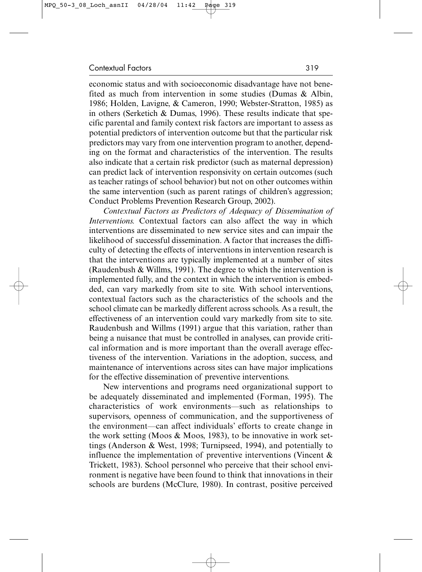economic status and with socioeconomic disadvantage have not benefited as much from intervention in some studies (Dumas  $\&$  Albin, 1986; Holden, Lavigne, & Cameron, 1990; Webster-Stratton, 1985) as in others (Serketich & Dumas, 1996). These results indicate that specific parental and family context risk factors are important to assess as potential predictors of intervention outcome but that the particular risk predictors may vary from one intervention program to another, depending on the format and characteristics of the intervention. The results also indicate that a certain risk predictor (such as maternal depression) can predict lack of intervention responsivity on certain outcomes (such as teacher ratings of school behavior) but not on other outcomes within the same intervention (such as parent ratings of children's aggression; Conduct Problems Prevention Research Group, 2002).

*Contextual Factors as Predictors of Adequacy of Dissemination of Interventions.* Contextual factors can also affect the way in which interventions are disseminated to new service sites and can impair the likelihood of successful dissemination. A factor that increases the difficulty of detecting the effects of interventions in intervention research is that the interventions are typically implemented at a number of sites (Raudenbush & Willms, 1991). The degree to which the intervention is implemented fully, and the context in which the intervention is embedded, can vary markedly from site to site. With school interventions, contextual factors such as the characteristics of the schools and the school climate can be markedly different across schools. As a result, the effectiveness of an intervention could vary markedly from site to site. Raudenbush and Willms (1991) argue that this variation, rather than being a nuisance that must be controlled in analyses, can provide critical information and is more important than the overall average effectiveness of the intervention. Variations in the adoption, success, and maintenance of interventions across sites can have major implications for the effective dissemination of preventive interventions.

New interventions and programs need organizational support to be adequately disseminated and implemented (Forman, 1995). The characteristics of work environments—such as relationships to supervisors, openness of communication, and the supportiveness of the environment—can affect individuals' efforts to create change in the work setting (Moos & Moos, 1983), to be innovative in work settings (Anderson & West, 1998; Turnipseed, 1994), and potentially to influence the implementation of preventive interventions (Vincent & Trickett, 1983). School personnel who perceive that their school environment is negative have been found to think that innovations in their schools are burdens (McClure, 1980). In contrast, positive perceived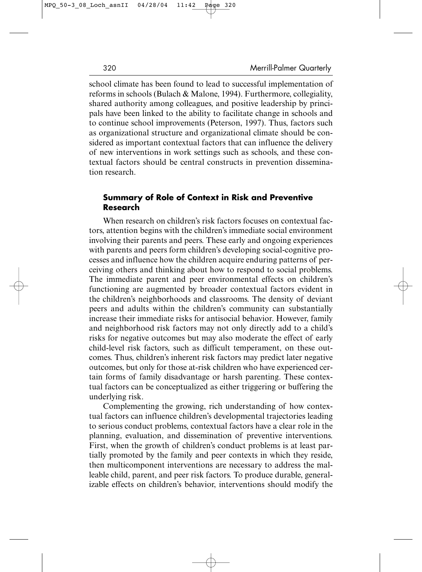school climate has been found to lead to successful implementation of reforms in schools (Bulach & Malone, 1994). Furthermore, collegiality, shared authority among colleagues, and positive leadership by principals have been linked to the ability to facilitate change in schools and to continue school improvements (Peterson, 1997). Thus, factors such as organizational structure and organizational climate should be considered as important contextual factors that can influence the delivery of new interventions in work settings such as schools, and these contextual factors should be central constructs in prevention dissemination research.

#### **Summary of Role of Context in Risk and Preventive Research**

When research on children's risk factors focuses on contextual factors, attention begins with the children's immediate social environment involving their parents and peers. These early and ongoing experiences with parents and peers form children's developing social-cognitive processes and influence how the children acquire enduring patterns of perceiving others and thinking about how to respond to social problems. The immediate parent and peer environmental effects on children's functioning are augmented by broader contextual factors evident in the children's neighborhoods and classrooms. The density of deviant peers and adults within the children's community can substantially increase their immediate risks for antisocial behavior. However, family and neighborhood risk factors may not only directly add to a child's risks for negative outcomes but may also moderate the effect of early child-level risk factors, such as difficult temperament, on these outcomes. Thus, children's inherent risk factors may predict later negative outcomes, but only for those at-risk children who have experienced certain forms of family disadvantage or harsh parenting. These contextual factors can be conceptualized as either triggering or buffering the underlying risk.

Complementing the growing, rich understanding of how contextual factors can influence children's developmental trajectories leading to serious conduct problems, contextual factors have a clear role in the planning, evaluation, and dissemination of preventive interventions. First, when the growth of children's conduct problems is at least partially promoted by the family and peer contexts in which they reside, then multicomponent interventions are necessary to address the malleable child, parent, and peer risk factors. To produce durable, generalizable effects on children's behavior, interventions should modify the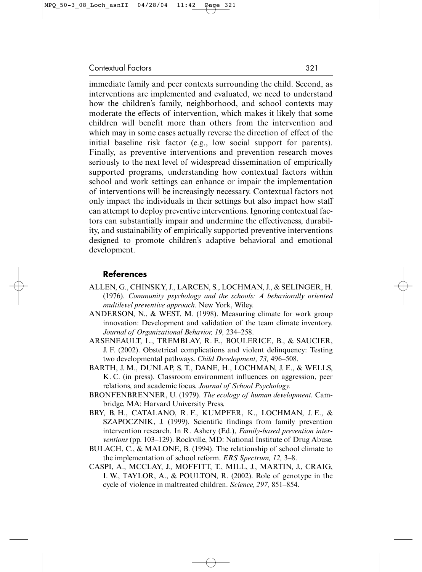immediate family and peer contexts surrounding the child. Second, as interventions are implemented and evaluated, we need to understand how the children's family, neighborhood, and school contexts may moderate the effects of intervention, which makes it likely that some children will benefit more than others from the intervention and which may in some cases actually reverse the direction of effect of the initial baseline risk factor (e.g., low social support for parents). Finally, as preventive interventions and prevention research moves seriously to the next level of widespread dissemination of empirically supported programs, understanding how contextual factors within school and work settings can enhance or impair the implementation of interventions will be increasingly necessary. Contextual factors not only impact the individuals in their settings but also impact how staff can attempt to deploy preventive interventions. Ignoring contextual factors can substantially impair and undermine the effectiveness, durability, and sustainability of empirically supported preventive interventions designed to promote children's adaptive behavioral and emotional development.

## **References**

- ALLEN, G., CHINSKY, J., LARCEN, S., LOCHMAN, J., & SELINGER, H. (1976). *Community psychology and the schools: A behaviorally oriented multilevel preventive approach.* New York, Wiley.
- ANDERSON, N., & WEST, M. (1998). Measuring climate for work group innovation: Development and validation of the team climate inventory. *Journal of Organizational Behavior, 19,* 234–258.
- ARSENEAULT, L., TREMBLAY, R. E., BOULERICE, B., & SAUCIER, J. F. (2002). Obstetrical complications and violent delinquency: Testing two developmental pathways. *Child Development, 73,* 496–508.
- BARTH, J. M., DUNLAP, S. T., DANE, H., LOCHMAN, J. E., & WELLS, K. C. (in press). Classroom environment influences on aggression, peer relations, and academic focus. *Journal of School Psychology.*
- BRONFENBRENNER, U. (1979). *The ecology of human development.* Cambridge, MA: Harvard University Press.
- BRY, B. H., CATALANO, R. F., KUMPFER, K., LOCHMAN, J. E., & SZAPOCZNIK, J. (1999). Scientific findings from family prevention intervention research. In R. Ashery (Ed.), *Family-based prevention interventions* (pp. 103–129). Rockville, MD: National Institute of Drug Abuse.
- BULACH, C., & MALONE, B. (1994). The relationship of school climate to the implementation of school reform. *ERS Spectrum, 12,* 3–8.
- CASPI, A., MCCLAY, J., MOFFITT, T., MILL, J., MARTIN, J., CRAIG, I. W., TAYLOR, A., & POULTON, R. (2002). Role of genotype in the cycle of violence in maltreated children. *Science, 297,* 851–854.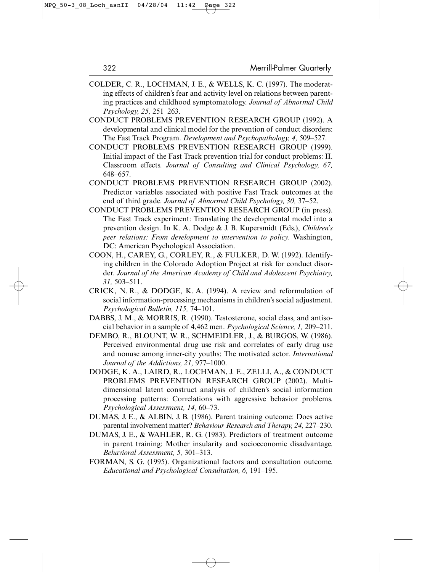- COLDER, C. R., LOCHMAN, J. E., & WELLS, K. C. (1997). The moderating effects of children's fear and activity level on relations between parenting practices and childhood symptomatology. *Journal of Abnormal Child Psychology, 25,* 251–263.
- CONDUCT PROBLEMS PREVENTION RESEARCH GROUP (1992). A developmental and clinical model for the prevention of conduct disorders: The Fast Track Program. *Development and Psychopathology, 4,* 509–527.
- CONDUCT PROBLEMS PREVENTION RESEARCH GROUP (1999). Initial impact of the Fast Track prevention trial for conduct problems: II. Classroom effects. *Journal of Consulting and Clinical Psychology, 67,* 648–657.
- CONDUCT PROBLEMS PREVENTION RESEARCH GROUP (2002). Predictor variables associated with positive Fast Track outcomes at the end of third grade. *Journal of Abnormal Child Psychology, 30,* 37–52.
- CONDUCT PROBLEMS PREVENTION RESEARCH GROUP (in press). The Fast Track experiment: Translating the developmental model into a prevention design. In K. A. Dodge & J. B. Kupersmidt (Eds.), *Children's peer relations: From development to intervention to policy.* Washington, DC: American Psychological Association.
- COON, H., CAREY, G., CORLEY, R., & FULKER, D. W. (1992). Identifying children in the Colorado Adoption Project at risk for conduct disorder. *Journal of the American Academy of Child and Adolescent Psychiatry, 31,* 503–511.
- CRICK, N. R., & DODGE, K. A. (1994). A review and reformulation of social information-processing mechanisms in children's social adjustment. *Psychological Bulletin, 115,* 74–101.
- DABBS, J. M., & MORRIS, R. (1990). Testosterone, social class, and antisocial behavior in a sample of 4,462 men. *Psychological Science, 1,* 209–211.
- DEMBO, R., BLOUNT, W. R., SCHMEIDLER, J., & BURGOS, W. (1986). Perceived environmental drug use risk and correlates of early drug use and nonuse among inner-city youths: The motivated actor. *International Journal of the Addictions, 21,* 977–1000.
- DODGE, K. A., LAIRD, R., LOCHMAN, J. E., ZELLI, A., & CONDUCT PROBLEMS PREVENTION RESEARCH GROUP (2002). Multidimensional latent construct analysis of children's social information processing patterns: Correlations with aggressive behavior problems. *Psychological Assessment, 14,* 60–73.
- DUMAS, J. E., & ALBIN, J. B. (1986). Parent training outcome: Does active parental involvement matter? *Behaviour Research and Therapy, 24,* 227–230.
- DUMAS, J. E., & WAHLER, R. G. (1983). Predictors of treatment outcome in parent training: Mother insularity and socioeconomic disadvantage. *Behavioral Assessment, 5,* 301–313.
- FORMAN, S. G. (1995). Organizational factors and consultation outcome. *Educational and Psychological Consultation, 6,* 191–195.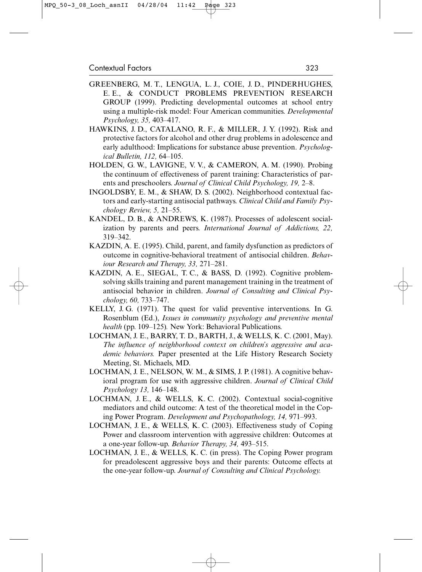- GREENBERG, M. T., LENGUA, L. J., COIE, J. D., PINDERHUGHES, E. E., & CONDUCT PROBLEMS PREVENTION RESEARCH GROUP (1999). Predicting developmental outcomes at school entry using a multiple-risk model: Four American communities. *Developmental Psychology, 35,* 403–417.
- HAWKINS, J. D., CATALANO, R. F., & MILLER, J. Y. (1992). Risk and protective factors for alcohol and other drug problems in adolescence and early adulthood: Implications for substance abuse prevention. *Psychological Bulletin, 112,* 64–105.
- HOLDEN, G. W., LAVIGNE, V. V., & CAMERON, A. M. (1990). Probing the continuum of effectiveness of parent training: Characteristics of parents and preschoolers. *Journal of Clinical Child Psychology, 19,* 2–8.
- INGOLDSBY, E. M., & SHAW, D. S. (2002). Neighborhood contextual factors and early-starting antisocial pathways. *Clinical Child and Family Psychology Review, 5,* 21–55.
- KANDEL, D. B., & ANDREWS, K. (1987). Processes of adolescent socialization by parents and peers. *International Journal of Addictions, 22,* 319–342.
- KAZDIN, A. E. (1995). Child, parent, and family dysfunction as predictors of outcome in cognitive-behavioral treatment of antisocial children. *Behaviour Research and Therapy, 33,* 271–281.
- KAZDIN, A. E., SIEGAL, T. C., & BASS, D. (1992). Cognitive problemsolving skills training and parent management training in the treatment of antisocial behavior in children. *Journal of Consulting and Clinical Psychology, 60,* 733–747.
- KELLY, J. G. (1971). The quest for valid preventive interventions. In G. Rosenblum (Ed.), *Issues in community psychology and preventive mental health* (pp. 109–125)*.* New York: Behavioral Publications.
- LOCHMAN, J. E., BARRY, T. D., BARTH, J., & WELLS, K. C. (2001, May). *The influence of neighborhood context on children's aggressive and academic behaviors.* Paper presented at the Life History Research Society Meeting, St. Michaels, MD.
- LOCHMAN, J. E., NELSON, W. M., & SIMS, J. P. (1981). A cognitive behavioral program for use with aggressive children. *Journal of Clinical Child Psychology 13,* 146–148.
- LOCHMAN, J. E., & WELLS, K. C. (2002). Contextual social-cognitive mediators and child outcome: A test of the theoretical model in the Coping Power Program. *Development and Psychopathology, 14,* 971–993.
- LOCHMAN, J. E., & WELLS, K. C. (2003). Effectiveness study of Coping Power and classroom intervention with aggressive children: Outcomes at a one-year follow-up. *Behavior Therapy, 34,* 493–515.
- LOCHMAN, J. E., & WELLS, K. C. (in press). The Coping Power program for preadolescent aggressive boys and their parents: Outcome effects at the one-year follow-up. *Journal of Consulting and Clinical Psychology.*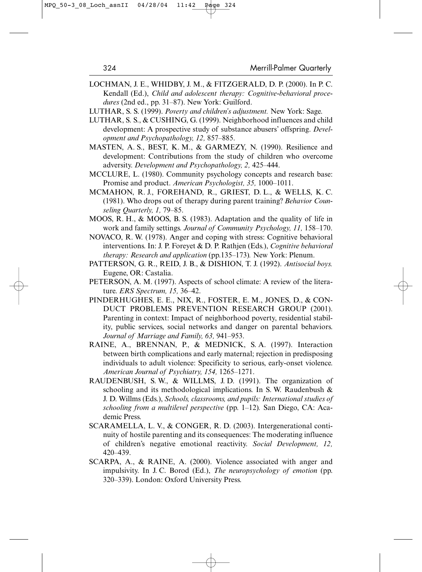- LOCHMAN, J. E., WHIDBY, J. M., & FITZGERALD, D. P. (2000). In P. C. Kendall (Ed.), *Child and adolescent therapy: Cognitive-behavioral procedures* (2nd ed., pp. 31–87). New York: Guilford.
- LUTHAR, S. S. (1999). *Poverty and children's adjustment.* New York: Sage.
- LUTHAR, S. S., & CUSHING, G. (1999). Neighborhood influences and child development: A prospective study of substance abusers' offspring. *Development and Psychopathology, 12,* 857–885.
- MASTEN, A. S., BEST, K. M., & GARMEZY, N. (1990). Resilience and development: Contributions from the study of children who overcome adversity. *Development and Psychopathology, 2,* 425–444.
- MCCLURE, L. (1980). Community psychology concepts and research base: Promise and product. *American Psychologist, 35,* 1000–1011.
- MCMAHON, R. J., FOREHAND, R., GRIEST, D. L., & WELLS, K. C. (1981). Who drops out of therapy during parent training? *Behavior Counseling Quarterly, 1,* 79–85.
- MOOS, R. H., & MOOS, B. S. (1983). Adaptation and the quality of life in work and family settings. *Journal of Community Psychology, 11,* 158–170.
- NOVACO, R. W. (1978). Anger and coping with stress: Cognitive behavioral interventions. In: J. P. Foreyet & D. P. Rathjen (Eds.), *Cognitive behavioral therapy: Research and application* (pp.135–173)*.* New York: Plenum.
- PATTERSON, G. R., REID, J. B., & DISHION, T. J. (1992). *Antisocial boys.* Eugene, OR: Castalia.
- PETERSON, A. M. (1997). Aspects of school climate: A review of the literature. *ERS Spectrum, 15,* 36–42.
- PINDERHUGHES, E. E., NIX, R., FOSTER, E. M., JONES, D., & CON-DUCT PROBLEMS PREVENTION RESEARCH GROUP (2001). Parenting in context: Impact of neighborhood poverty, residential stability, public services, social networks and danger on parental behaviors. *Journal of Marriage and Family, 63,* 941–953.
- RAINE, A., BRENNAN, P., & MEDNICK, S. A. (1997). Interaction between birth complications and early maternal; rejection in predisposing individuals to adult violence: Specificity to serious, early-onset violence. *American Journal of Psychiatry, 154,* 1265–1271.
- RAUDENBUSH, S. W., & WILLMS, J. D. (1991). The organization of schooling and its methodological implications. In S. W. Raudenbush  $\&$ J. D. Willms (Eds.), *Schools, classrooms, and pupils: International studies of schooling from a multilevel perspective* (pp. 1–12)*.* San Diego, CA: Academic Press.
- SCARAMELLA, L. V., & CONGER, R. D. (2003). Intergenerational continuity of hostile parenting and its consequences: The moderating influence of children's negative emotional reactivity. *Social Development, 12,* 420–439.
- SCARPA, A., & RAINE, A. (2000). Violence associated with anger and impulsivity. In J. C. Borod (Ed.), *The neuropsychology of emotion* (pp. 320–339). London: Oxford University Press.